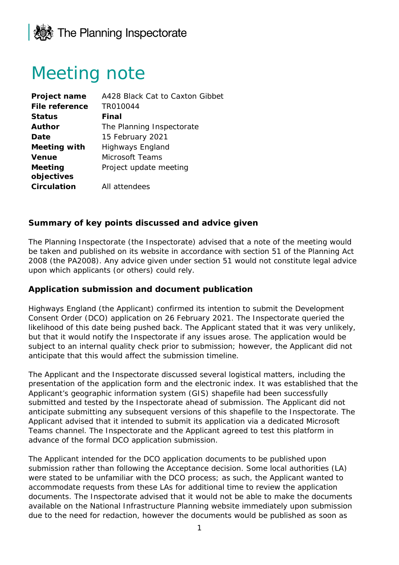

## Meeting note

| Project name        | A428 Black Cat to Caxton Gibbet |
|---------------------|---------------------------------|
| File reference      | TR010044                        |
| <b>Status</b>       | Final                           |
| Author              | The Planning Inspectorate       |
| Date                | 15 February 2021                |
| <b>Meeting with</b> | Highways England                |
| <b>Venue</b>        | Microsoft Teams                 |
| Meeting             | Project update meeting          |
| objectives          |                                 |
| <b>Circulation</b>  | All attendees                   |

## **Summary of key points discussed and advice given**

The Planning Inspectorate (the Inspectorate) advised that a note of the meeting would be taken and published on its website in accordance with section 51 of the Planning Act 2008 (the PA2008). Any advice given under section 51 would not constitute legal advice upon which applicants (or others) could rely.

## **Application submission and document publication**

Highways England (the Applicant) confirmed its intention to submit the Development Consent Order (DCO) application on 26 February 2021. The Inspectorate queried the likelihood of this date being pushed back. The Applicant stated that it was very unlikely, but that it would notify the Inspectorate if any issues arose. The application would be subject to an internal quality check prior to submission; however, the Applicant did not anticipate that this would affect the submission timeline.

The Applicant and the Inspectorate discussed several logistical matters, including the presentation of the application form and the electronic index. It was established that the Applicant's geographic information system (GIS) shapefile had been successfully submitted and tested by the Inspectorate ahead of submission. The Applicant did not anticipate submitting any subsequent versions of this shapefile to the Inspectorate. The Applicant advised that it intended to submit its application via a dedicated Microsoft Teams channel. The Inspectorate and the Applicant agreed to test this platform in advance of the formal DCO application submission.

The Applicant intended for the DCO application documents to be published upon submission rather than following the Acceptance decision. Some local authorities (LA) were stated to be unfamiliar with the DCO process; as such, the Applicant wanted to accommodate requests from these LAs for additional time to review the application documents. The Inspectorate advised that it would not be able to make the documents available on the National Infrastructure Planning website immediately upon submission due to the need for redaction, however the documents would be published as soon as